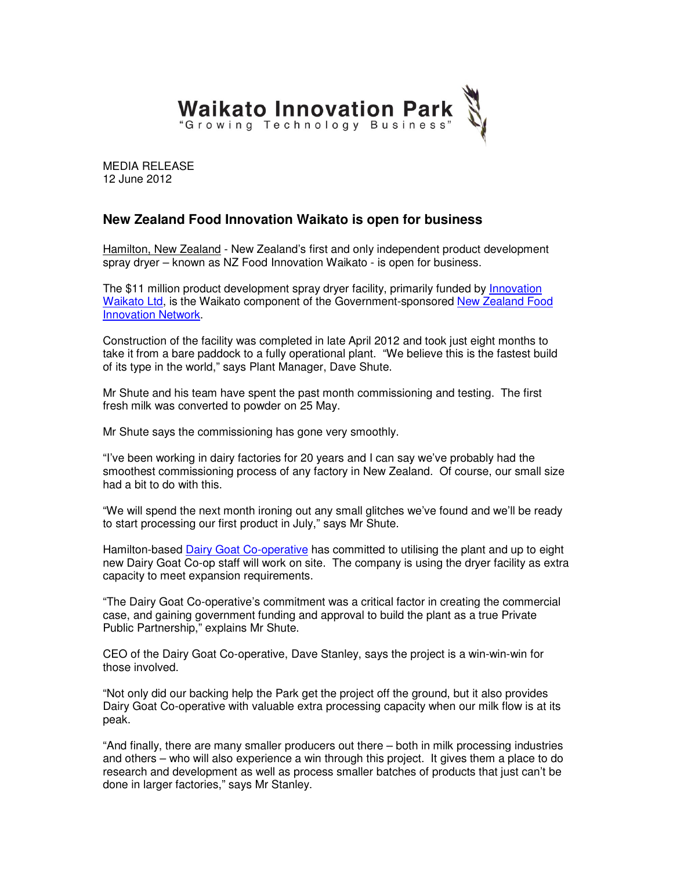

MEDIA RELEASE 12 June 2012

## **New Zealand Food Innovation Waikato is open for business**

Hamilton, New Zealand - New Zealand's first and only independent product development spray dryer – known as NZ Food Innovation Waikato - is open for business.

The \$11 million product development spray dryer facility, primarily funded by *Innovation* Waikato Ltd, is the Waikato component of the Government-sponsored New Zealand Food Innovation Network.

Construction of the facility was completed in late April 2012 and took just eight months to take it from a bare paddock to a fully operational plant. "We believe this is the fastest build of its type in the world," says Plant Manager, Dave Shute.

Mr Shute and his team have spent the past month commissioning and testing. The first fresh milk was converted to powder on 25 May.

Mr Shute says the commissioning has gone very smoothly.

"I've been working in dairy factories for 20 years and I can say we've probably had the smoothest commissioning process of any factory in New Zealand. Of course, our small size had a bit to do with this.

"We will spend the next month ironing out any small glitches we've found and we'll be ready to start processing our first product in July," says Mr Shute.

Hamilton-based Dairy Goat Co-operative has committed to utilising the plant and up to eight new Dairy Goat Co-op staff will work on site. The company is using the dryer facility as extra capacity to meet expansion requirements.

"The Dairy Goat Co-operative's commitment was a critical factor in creating the commercial case, and gaining government funding and approval to build the plant as a true Private Public Partnership," explains Mr Shute.

CEO of the Dairy Goat Co-operative, Dave Stanley, says the project is a win-win-win for those involved.

"Not only did our backing help the Park get the project off the ground, but it also provides Dairy Goat Co-operative with valuable extra processing capacity when our milk flow is at its peak.

"And finally, there are many smaller producers out there – both in milk processing industries and others – who will also experience a win through this project. It gives them a place to do research and development as well as process smaller batches of products that just can't be done in larger factories," says Mr Stanley.